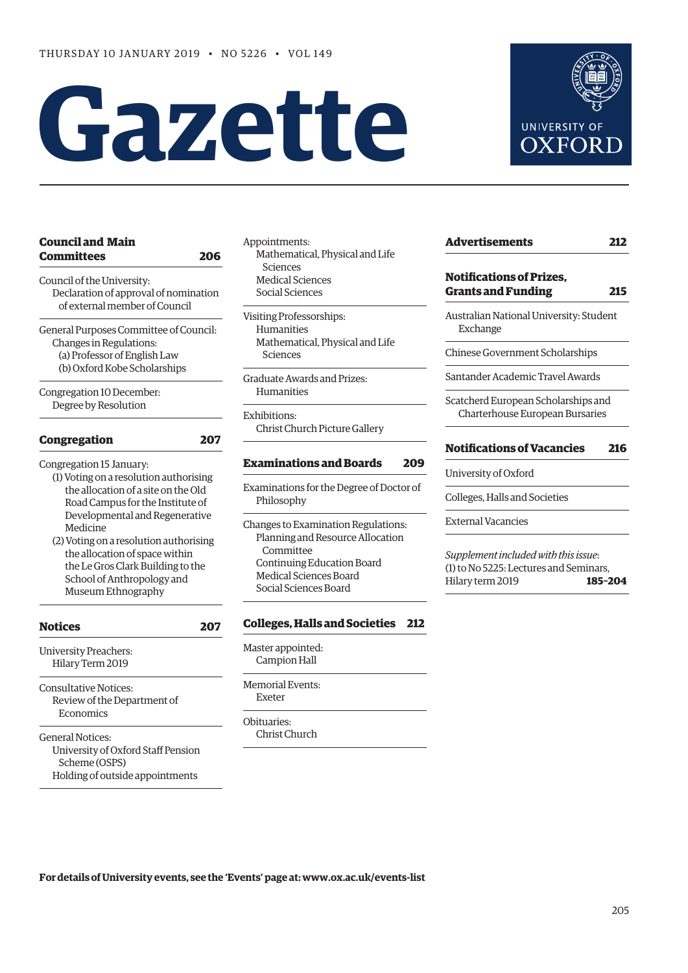# **Gazette**



| <b>Council and Main</b><br>Committees                      | 206 |
|------------------------------------------------------------|-----|
| Council of the University:                                 |     |
| Declaration of approval of nomination                      |     |
| of external member of Council                              |     |
| General Purposes Committee of Council:                     |     |
| Changes in Regulations:                                    |     |
| (a) Professor of English Law                               |     |
| (b) Oxford Kobe Scholarships                               |     |
|                                                            |     |
| Congregation 10 December:                                  |     |
| Degree by Resolution                                       |     |
| Congregation                                               | 207 |
|                                                            |     |
| (1) Voting on a resolution authorising                     |     |
| the allocation of a site on the Old                        |     |
| Road Campus for the Institute of                           |     |
| Developmental and Regenerative                             |     |
| Medicine                                                   |     |
| (2) Voting on a resolution authorising                     |     |
| Congregation 15 January:<br>the allocation of space within |     |
| the Le Gros Clark Building to the                          |     |
| School of Anthropology and<br>Museum Ethnography           |     |

| <b>Notices</b>                                                                                                    | 207 | C.O |
|-------------------------------------------------------------------------------------------------------------------|-----|-----|
| University Preachers:<br>Hilary Term 2019                                                                         |     | Ma  |
| <b>Consultative Notices:</b><br>Review of the Department of<br>Economics                                          |     | Me  |
| <b>General Notices:</b><br>University of Oxford Staff Pension<br>Scheme (OSPS)<br>Holding of outside appointments |     |     |

Appointments: Mathematical, Physical and Life Sciences Medical Sciences Social Sciences

Visiting Professorships: Humanities Mathematical, Physical and Life Sciences

Graduate Awards and Prizes: Humanities

Exhibitions: Christ Church Picture Gallery

#### **[Examinations and Boards 209](#page-4-0)**

Examinations for the Degree of Doctor of Philosophy

Changes to Examination Regulations: Planning and Resource Allocation Committee Continuing Education Board Medical Sciences Board Social Sciences Board

#### **[Colleges, Halls and Societies 212](#page-7-0)**

ster appointed: Campion Hall

morial Events: Exeter

ituaries· Christ Church **[Advertisements 212](#page-7-0) Notifications of Prizes, [Grants and Funding 215](#page-10-0)** Australian National University: Student Exchange Chinese Government Scholarships Santander Academic Travel Awards Scatcherd European Scholarships and Charterhouse European Bursaries **[Notifications of Vacancies 216](#page-11-0)** University of Oxford

Colleges, Halls and Societies

External Vacancies

*Supplement included with this issue*: (1) to No 5225: Lectures and Seminars, Hilary term 2019 **185–204**

**For details of University events, see the 'Events' page at: [www.ox.ac.uk/events-list](http://www.ox.ac.uk/events-list)**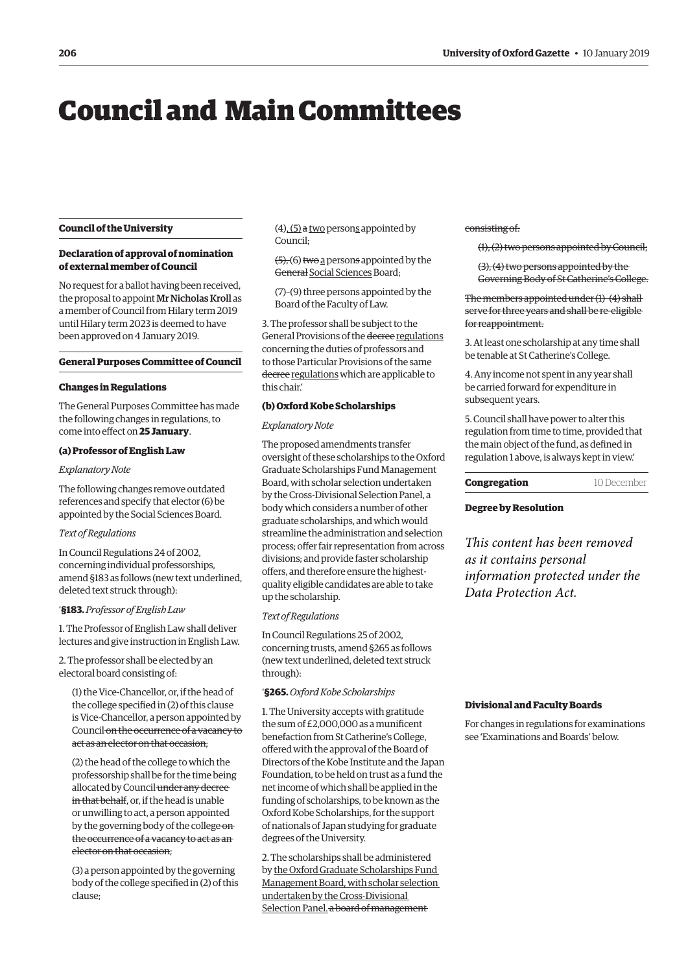## <span id="page-1-0"></span>Council and Main Committees

#### **Council of the University**

#### **Declaration of approval of nomination of external member of Council**

No request for a ballot having been received, the proposal to appoint Mr Nicholas Kroll as a member of Council from Hilary term 2019 until Hilary term 2023 is deemed to have been approved on 4 January 2019.

#### **General Purposes Committee of Council**

#### **Changes in Regulations**

The General Purposes Committee has made the following changes in regulations, to come into effect on **25 January**.

#### **(a) Professor of English Law**

#### *Explanatory Note*

The following changes remove outdated references and specify that elector (6) be appointed by the Social Sciences Board.

#### *Text of Regulations*

In Council Regulations 24 of 2002, concerning individual professorships, amend §183 as follows (new text underlined, deleted text struck through):

'**§183.** *Professor of English Law*

1. The Professor of English Law shall deliver lectures and give instruction in English Law.

2. The professor shall be elected by an electoral board consisting of:

(1) the Vice-Chancellor, or, if the head of the college specified in (2) of this clause is Vice-Chancellor, a person appointed by Council on the occurrence of a vacancy to act as an elector on that occasion;

(2) the head of the college to which the professorship shall be for the time being allocated by Council under any decree in that behalf, or, if the head is unable or unwilling to act, a person appointed by the governing body of the college onthe occurrence of a vacancy to act as an elector on that occasion;

(3) a person appointed by the governing body of the college specified in (2) of this clause;

 $(4)$ ,  $(5)$  a two persons appointed by Council;

 $(5)$ ,  $(6)$  two a persons appointed by the General Social Sciences Board;

(7)–(9) three persons appointed by the Board of the Faculty of Law.

3. The professor shall be subject to the General Provisions of the decree regulations concerning the duties of professors and to those Particular Provisions of the same decree regulations which are applicable to this chair.'

#### **(b) Oxford Kobe Scholarships**

#### *Explanatory Note*

The proposed amendments transfer oversight of these scholarships to the Oxford Graduate Scholarships Fund Management Board, with scholar selection undertaken by the Cross-Divisional Selection Panel, a body which considers a number of other graduate scholarships, and which would streamline the administration and selection process; offer fair representation from across divisions; and provide faster scholarship offers, and therefore ensure the highestquality eligible candidates are able to take up the scholarship.

#### *Text of Regulations*

In Council Regulations 25 of 2002, concerning trusts, amend §265 as follows (new text underlined, deleted text struck through):

'**§265.** *Oxford Kobe Scholarships*

1. The University accepts with gratitude the sum of £2,000,000 as a munificent benefaction from St Catherine's College, offered with the approval of the Board of Directors of the Kobe Institute and the Japan Foundation, to be held on trust as a fund the net income of which shall be applied in the funding of scholarships, to be known as the Oxford Kobe Scholarships, for the support of nationals of Japan studying for graduate degrees of the University.

2. The scholarships shall be administered by the Oxford Graduate Scholarships Fund Management Board, with scholar selection undertaken by the Cross-Divisional Selection Panel. a board of management

consisting of:

(1), (2) two persons appointed by Council;

(3), (4) two persons appointed by the Governing Body of St Catherine's College.

The members appointed under (1)–(4) shall serve for three years and shall be re-eligible for reappointment.

3. At least one scholarship at any time shall be tenable at St Catherine's College.

4. Any income not spent in any year shall be carried forward for expenditure in subsequent years.

5. Council shall have power to alter this regulation from time to time, provided that the main object of the fund, as defined in regulation 1 above, is always kept in view.'

| Congregation | 10 December |
|--------------|-------------|
|--------------|-------------|

#### **Degree by Resolution**

*This content has been removed as it contains personal information protected under the Data Protection Act.*

#### **Divisional and Faculty Boards**

For changes in regulations for examinations see ['Examinations and Boards' b](#page-4-0)elow.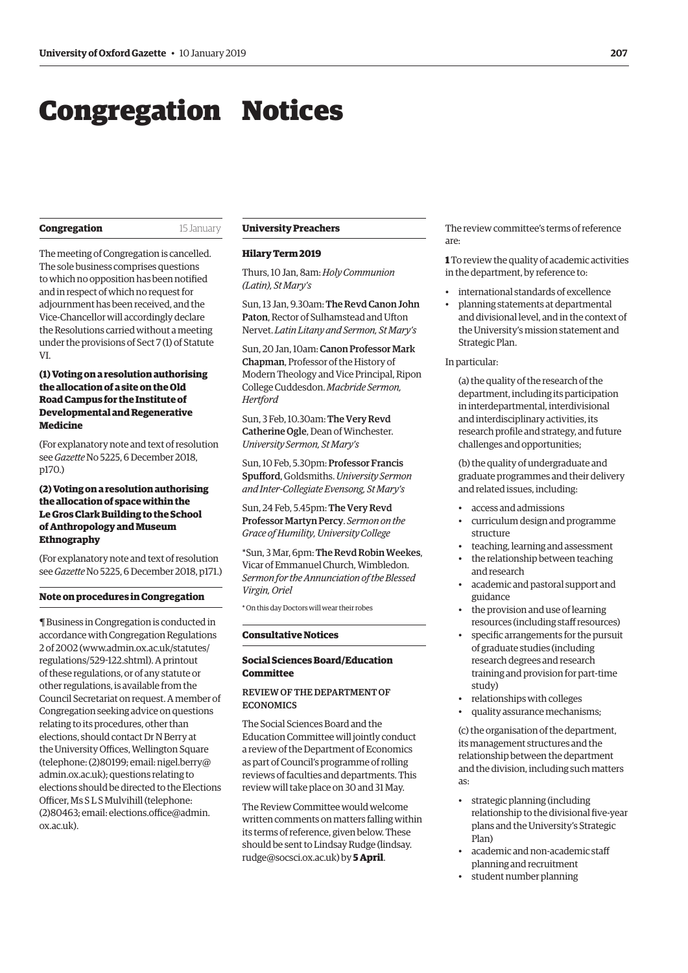## <span id="page-2-0"></span>Congregation Notices

#### **Congregation** 15 January

The meeting of Congregation is cancelled. The sole business comprises questions to which no opposition has been notified and in respect of which no request for adjournment has been received, and the Vice-Chancellor will accordingly declare the Resolutions carried without a meeting under the provisions of Sect 7 (1) of Statute VI.

#### **(1) Voting on a resolution authorising the allocation of a site on the Old Road Campus for the Institute of Developmental and Regenerative Medicine**

(For explanatory note and text of resolution see *Gazette* [No 5225, 6 December 2018,](https://gazette.web.ox.ac.uk/sites/default/files/gazette/documents/media/6_december_2018_-_no_5225_redacted.pdf#page=2)  p170.)

#### **(2) Voting on a resolution authorising the allocation of space within the Le Gros Clark Building to the School of Anthropology and Museum Ethnography**

(For explanatory note and text of resolution see *Gazette* [No 5225, 6 December 2018, p171.\)](https://gazette.web.ox.ac.uk/sites/default/files/gazette/documents/media/6_december_2018_-_no_5225_redacted.pdf#page=3) 

#### **Note on procedures in Congregation**

¶ Business in Congregation is conducted in accordance with Congregation Regulations 2 of 2002 [\(www.admin.ox.ac.uk/statutes/](http://www.admin.ox.ac.uk/statutes/regulations/529-122.shtml) [regulations/529-122.shtml\). A](http://www.admin.ox.ac.uk/statutes/regulations/529-122.shtml) printout of these regulations, or of any statute or other regulations, is available from the Council Secretariat on request. A member of Congregation seeking advice on questions relating to its procedures, other than elections, should contact Dr N Berry at the University Offices, Wellington Square [\(telephone: \(2\)80199; email: nigel.berry@](mailto:nigel.berry@admin.ox.ac.uk) admin.ox.ac.uk); questions relating to elections should be directed to the Elections Officer, Ms S L S Mulvihill (telephone: [\(2\)80463; email: elections.office@admin.](mailto:elections.office@admin.ox.ac.uk) ox.ac.uk).

#### **University Preachers**

#### **Hilary Term 2019**

Thurs, 10 Jan, 8am: *Holy Communion (Latin), St Mary's*

Sun, 13 Jan, 9.30am: The Revd Canon John Paton, Rector of Sulhamstead and Ufton Nervet. *Latin Litany and Sermon, St Mary's*

Sun, 20 Jan, 10am: Canon Professor Mark Chapman, Professor of the History of Modern Theology and Vice Principal, Ripon College Cuddesdon. *Macbride Sermon, Hertford*

Sun, 3 Feb, 10.30am: The Very Revd Catherine Ogle, Dean of Winchester. *University Sermon, St Mary's*

Sun, 10 Feb, 5.30pm: Professor Francis Spufford, Goldsmiths. *University Sermon and Inter-Collegiate Evensong, St Mary's*

Sun, 24 Feb, 5.45pm: The Very Revd Professor Martyn Percy. *Sermon on the Grace of Humility, University College*

\*Sun, 3 Mar, 6pm: The Revd Robin Weekes, Vicar of Emmanuel Church, Wimbledon. *Sermon for the Annunciation of the Blessed Virgin, Oriel*

\* On this day Doctors will wear their robes

#### **Consultative Notices**

#### **Social Sciences Board/Education Committee**

#### REVIEW OF THE DEPARTMENT OF **ECONOMICS**

The Social Sciences Board and the Education Committee will jointly conduct a review of the Department of Economics as part of Council's programme of rolling reviews of faculties and departments. This review will take place on 30 and 31 May.

The Review Committee would welcome written comments on matters falling within its terms of reference, given below. These [should be sent to Lindsay Rudge \(lindsay.](mailto:lindsay.rudge@socsci.ox.ac.uk) rudge@socsci.ox.ac.uk) by **5 April**.

The review committee's terms of reference are:

**1** To review the quality of academic activities in the department, by reference to:

- international standards of excellence
- planning statements at departmental and divisional level, and in the context of the University's mission statement and Strategic Plan.

#### In particular:

(a) the quality of the research of the department, including its participation in interdepartmental, interdivisional and interdisciplinary activities, its research profile and strategy, and future challenges and opportunities;

(b) the quality of undergraduate and graduate programmes and their delivery and related issues, including:

- access and admissions
- curriculum design and programme structure
- teaching, learning and assessment
- the relationship between teaching and research
- academic and pastoral support and guidance
- the provision and use of learning resources (including staff resources)
- specific arrangements for the pursuit of graduate studies (including research degrees and research training and provision for part-time study)
- relationships with colleges
- quality assurance mechanisms;

(c) the organisation of the department, its management structures and the relationship between the department and the division, including such matters as:

- strategic planning (including relationship to the divisional five-year plans and the University's Strategic Plan)
- academic and non-academic staff planning and recruitment
- student number planning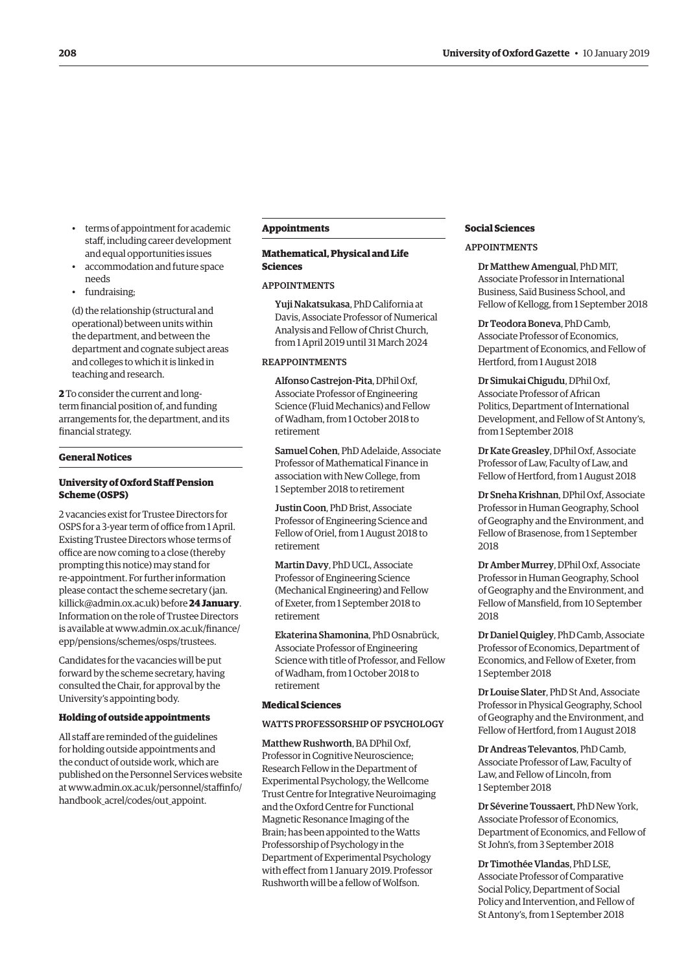- terms of appointment for academic staff, including career development and equal opportunities issues
- accommodation and future space needs
- fundraising;

(d) the relationship (structural and operational) between units within the department, and between the department and cognate subject areas and colleges to which it is linked in teaching and research.

**2** To consider the current and longterm financial position of, and funding arrangements for, the department, and its financial strategy.

#### **General Notices**

#### **University of Oxford Staff Pension Scheme (OSPS)**

2 vacancies exist for Trustee Directors for OSPS for a 3-year term of office from 1 April. Existing Trustee Directors whose terms of office are now coming to a close (thereby prompting this notice) may stand for re-appointment. For further information [please contact the scheme secretary \(jan.](mailto:jan.killick@admin.ox.ac.uk) killick@admin.ox.ac.uk) before **24 January**. Information on the role of Trustee Directors [is available at www.admin.ox.ac.uk/finance/](www.admin.ox.ac.uk/finance/epp/pensions/schemes/osps/trustees) epp/pensions/schemes/osps/trustees.

Candidates for the vacancies will be put forward by the scheme secretary, having consulted the Chair, for approval by the University's appointing body.

#### **Holding of outside appointments**

All staff are reminded of the guidelines for holding outside appointments and the conduct of outside work, which are published on the Personnel Services website [at www.admin.ox.ac.uk/personnel/staffinfo/](www.admin.ox.ac.uk/personnel/staffinfo/handbook_acrel/codes/out_appoint) handbook\_acrel/codes/out\_appoint.

#### **Appointments**

#### **Mathematical, Physical and Life Sciences**

#### APPOINTMENTS

Yuji Nakatsukasa, PhD California at Davis, Associate Professor of Numerical Analysis and Fellow of Christ Church, from 1 April 2019 until 31 March 2024

#### REAPPOINTMENTS

Alfonso Castrejon-Pita, DPhil Oxf, Associate Professor of Engineering Science (Fluid Mechanics) and Fellow of Wadham, from 1 October 2018 to retirement

Samuel Cohen, PhD Adelaide, Associate Professor of Mathematical Finance in association with New College, from 1 September 2018 to retirement

Justin Coon, PhD Brist, Associate Professor of Engineering Science and Fellow of Oriel, from 1 August 2018 to retirement

Martin Davy, PhD UCL, Associate Professor of Engineering Science (Mechanical Engineering) and Fellow of Exeter, from 1 September 2018 to retirement

Ekaterina Shamonina, PhD Osnabrück, Associate Professor of Engineering Science with title of Professor, and Fellow of Wadham, from 1 October 2018 to retirement

#### **Medical Sciences**

WATTS PROFESSORSHIP OF PSYCHOLOGY

Matthew Rushworth, BA DPhil Oxf, Professor in Cognitive Neuroscience; Research Fellow in the Department of Experimental Psychology, the Wellcome Trust Centre for Integrative Neuroimaging and the Oxford Centre for Functional Magnetic Resonance Imaging of the Brain; has been appointed to the Watts Professorship of Psychology in the Department of Experimental Psychology with effect from 1 January 2019. Professor Rushworth will be a fellow of Wolfson.

#### **Social Sciences**

#### APPOINTMENTS

Dr Matthew Amengual, PhD MIT, Associate Professor in International Business, Saïd Business School, and Fellow of Kellogg, from 1 September 2018

Dr Teodora Boneva, PhD Camb, Associate Professor of Economics, Department of Economics, and Fellow of Hertford, from 1 August 2018

Dr Simukai Chigudu, DPhil Oxf, Associate Professor of African Politics, Department of International Development, and Fellow of St Antony's, from 1 September 2018

Dr Kate Greasley, DPhil Oxf, Associate Professor of Law, Faculty of Law, and Fellow of Hertford, from 1 August 2018

Dr Sneha Krishnan, DPhil Oxf, Associate Professor in Human Geography, School of Geography and the Environment, and Fellow of Brasenose, from 1 September 2018

Dr Amber Murrey, DPhil Oxf, Associate Professor in Human Geography, School of Geography and the Environment, and Fellow of Mansfield, from 10 September 2018

Dr Daniel Quigley, PhD Camb, Associate Professor of Economics, Department of Economics, and Fellow of Exeter, from 1 September 2018

Dr Louise Slater, PhD St And, Associate Professor in Physical Geography, School of Geography and the Environment, and Fellow of Hertford, from 1 August 2018

Dr Andreas Televantos, PhD Camb, Associate Professor of Law, Faculty of Law, and Fellow of Lincoln, from 1 September 2018

Dr Séverine Toussaert, PhD New York, Associate Professor of Economics, Department of Economics, and Fellow of St John's, from 3 September 2018

Dr Timothée Vlandas, PhD LSE, Associate Professor of Comparative Social Policy, Department of Social Policy and Intervention, and Fellow of St Antony's, from 1 September 2018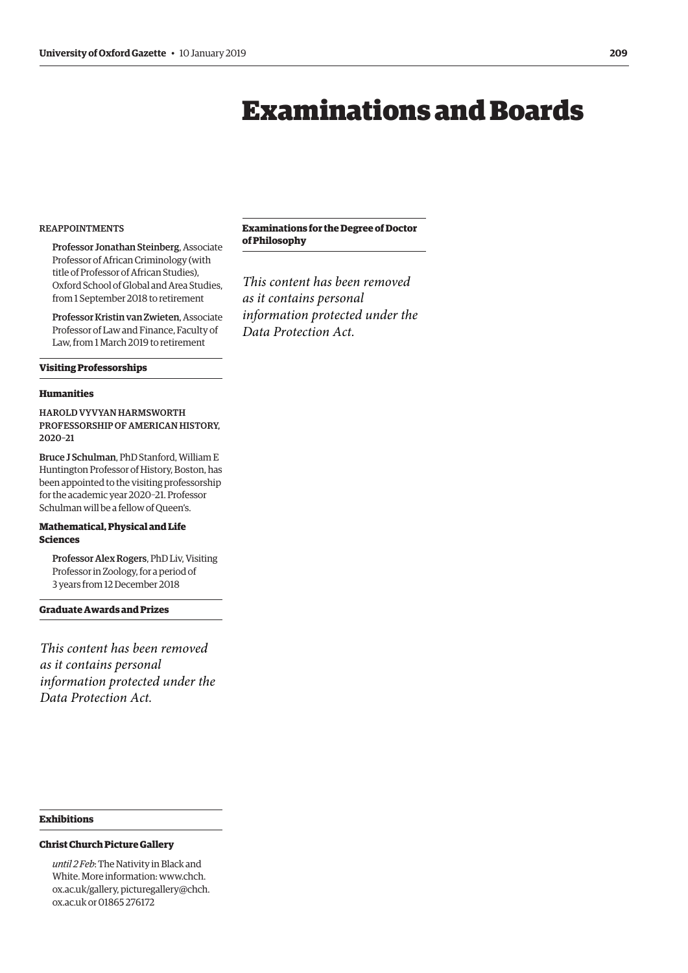## Examinations and Boards

#### <span id="page-4-0"></span>REAPPOINTMENTS

Professor Jonathan Steinberg, Associate Professor of African Criminology (with title of Professor of African Studies), Oxford School of Global and Area Studies, from 1 September 2018 to retirement

Professor Kristin van Zwieten, Associate Professor of Law and Finance, Faculty of Law, from 1 March 2019 to retirement

#### **Visiting Professorships**

#### **Humanities**

HAROLD VYVYAN HARMSWORTH PROFESSORSHIP OF AMERICAN HISTORY, 2020–21

Bruce J Schulman, PhD Stanford, William E Huntington Professor of History, Boston, has been appointed to the visiting professorship for the academic year 2020–21. Professor Schulman will be a fellow of Queen's.

#### **Mathematical, Physical and Life Sciences**

Professor Alex Rogers, PhD Liv, Visiting Professor in Zoology, for a period of 3 years from 12 December 2018

**Graduate Awards and Prizes** 

*This content has been removed as it contains personal information protected under the Data Protection Act.*

#### **Exhibitions**

#### **Christ Church Picture Gallery**

*until 2 Feb*: The Nativity in Black and White. More informat[ion: www.chch.](www.chch.ox.ac.uk/gallery) ox.ac.uk/gallery, [picturegallery@chch.](mailto:picturegallery@chch.ox.ac.uk) ox.ac.uk or 01865 276172

#### **Examinations for the Degree of Doctor of Philosophy**

*This content has been removed as it contains personal information protected under the Data Protection Act.*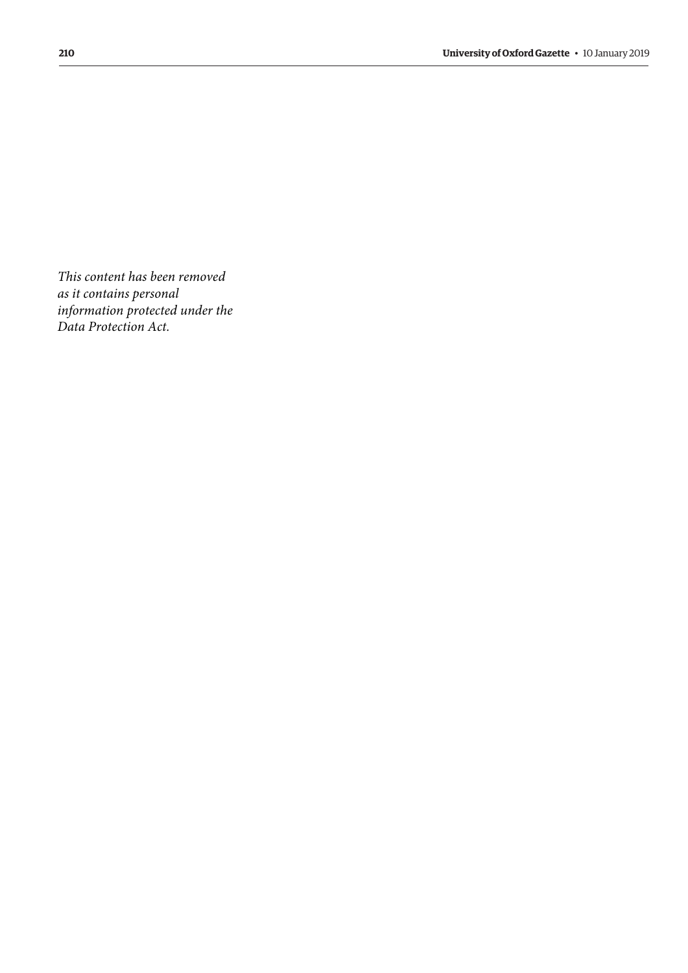*This content has been removed as it contains personal information protected under the Data Protection Act.*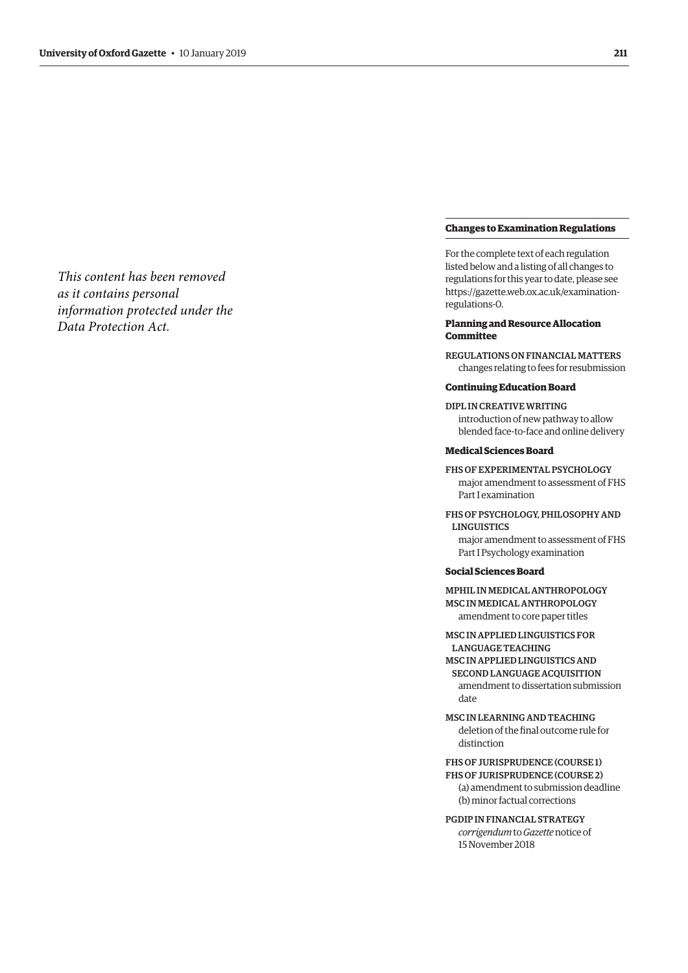*This content has been removed as it contains personal information protected under the Data Protection Act.*

#### **Changes to Examination Regulations**

For the complete text of each regulation listed below and a listing of all changes to regulations for this year to date, please see [https://gazette.web.ox.ac.uk/examination](https://gazette.web.ox.ac.uk/examination-regulations-0)regulations-0.

#### **Planning and Resource Allocation Committee**

REGULATIONS ON FINANCIAL MATTERS changes relating to fees for resubmission

#### **Continuing Education Board**

DIPL IN CREATIVE WRITING introduction of new pathway to allow blended face-to-face and online delivery

#### **Medical Sciences Board**

- FHS OF EXPERIMENTAL PSYCHOLOGY major amendment to assessment of FHS Part I examination
- FHS OF PSYCHOLOGY, PHILOSOPHY AND LINGUISTICS major amendment to assessment of FHS

Part I Psychology examination

#### **Social Sciences Board**

MPHIL IN MEDICAL ANTHROPOLOGY MSC IN MEDICAL ANTHROPOLOGY amendment to core paper titles

MSC IN APPLIED LINGUISTICS FOR LANGUAGE TEACHING MSC IN APPLIED LINGUISTICS AND SECOND LANGUAGE ACQUISITION amendment to dissertation submission date

MSC IN LEARNING AND TEACHING deletion of the final outcome rule for distinction

FHS OF JURISPRUDENCE (COURSE 1) FHS OF JURISPRUDENCE (COURSE 2) (a) amendment to submission deadline (b) minor factual corrections

PGDIP IN FINANCIAL STRATEGY *corrigendum* to *Gazette* notice of 15 November 2018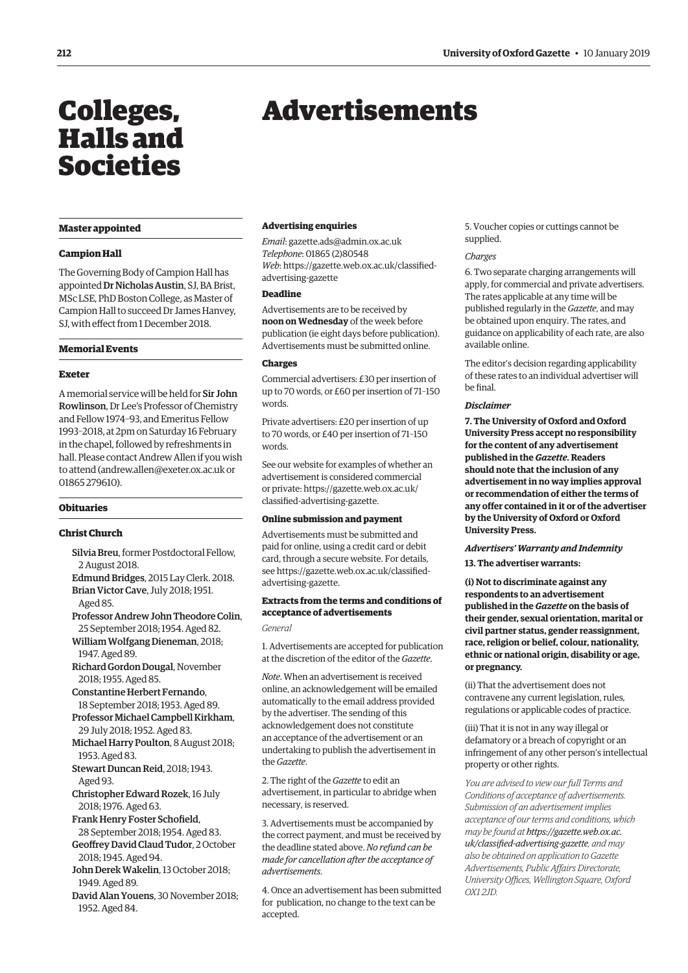## <span id="page-7-0"></span>Colleges, Halls and Societies

#### **Master appointed**

#### **Campion Hall**

The Governing Body of Campion Hall has appointed Dr Nicholas Austin, SJ, BA Brist, MSc LSE, PhD Boston College, as Master of Campion Hall to succeed Dr James Hanvey, SJ, with effect from 1 December 2018.

#### **Memorial Events**

#### **Exeter**

A memorial service will be held for Sir John Rowlinson, Dr Lee's Professor of Chemistry and Fellow 1974–93, and Emeritus Fellow 1993–2018, at 2pm on Saturday 16 February in the chapel, followed by refreshments in hall. Please contact Andrew Allen if you wish to atten[d \(andrew.allen@exeter.ox.ac.uk o](mailto:andrew.allen@exeter.ox.ac.uk)r 01865 279610).

#### **Obituaries**

#### **Christ Church**

- Silvia Breu, former Postdoctoral Fellow, 2 August 2018.
- Edmund Bridges, 2015 Lay Clerk. 2018. Brian Victor Cave, July 2018; 1951. Aged 85.
- Professor Andrew John Theodore Colin, 25 September 2018; 1954. Aged 82.
- William Wolfgang Dieneman, 2018; 1947. Aged 89.
- Richard Gordon Dougal, November 2018; 1955. Aged 85.
- Constantine Herbert Fernando, 18 September 2018; 1953. Aged 89. Professor Michael Campbell Kirkham,
- 29 July 2018; 1952. Aged 83.
- Michael Harry Poulton, 8 August 2018; 1953. Aged 83.
- Stewart Duncan Reid, 2018; 1943. Aged 93.
- Christopher Edward Rozek, 16 July 2018; 1976. Aged 63.
- Frank Henry Foster Schofield, 28 September 2018; 1954. Aged 83.
- Geoffrey David Claud Tudor, 2 October 2018; 1945. Aged 94.
- John Derek Wakelin, 13 October 2018; 1949. Aged 89.
- David Alan Youens, 30 November 2018; 1952. Aged 84.

## Advertisements

#### **Advertising enquiries**

*Email*: [gazette.ads@admin.ox.ac.uk](mailto:gazette.ads@admin.ox.ac.uk) *Telephone*: 01865 (2)80548 *Web*[: https://gazette.web.ox.ac.uk/classified](https://gazette.web.ox.ac.uk/classified-advertising-gazette)advertising-gazette

#### **Deadline**

Advertisements are to be received by **noon on Wednesday** of the week before publication (ie eight days before publication). Advertisements must be submitted online.

#### **Charges**

Commercial advertisers: £30 per insertion of up to 70 words, or £60 per insertion of 71–150 words.

Private advertisers: £20 per insertion of up to 70 words, or £40 per insertion of 71–150 words.

See our website for examples of whether an advertisement is considered commercial [or private: https://gazette.web.ox.ac.uk/](https://gazette.web.ox.ac.uk/classified-advertising-gazette) classified-advertising-gazette.

#### **Online submission and payment**

Advertisements must be submitted and paid for online, using a credit card or debit card, through a secure website. For details, [see https://gazette.web.ox.ac.uk/classified](https://gazette.web.ox.ac.uk/classified-advertising-gazette)advertising-gazette.

#### **Extracts from the terms and conditions of acceptance of advertisements**

*General*

1. Advertisements are accepted for publication at the discretion of the editor of the *Gazette*.

*Note*. When an advertisement is received online, an acknowledgement will be emailed automatically to the email address provided by the advertiser. The sending of this acknowledgement does not constitute an acceptance of the advertisement or an undertaking to publish the advertisement in the *Gazette*.

2. The right of the *Gazette* to edit an advertisement, in particular to abridge when necessary, is reserved.

3. Advertisements must be accompanied by the correct payment, and must be received by the deadline stated above. *No refund can be made for cancellation after the acceptance of advertisements*.

4. Once an advertisement has been submitted for publication, no change to the text can be accepted.

5. Voucher copies or cuttings cannot be supplied.

#### *Charges*

6. Two separate charging arrangements will apply, for commercial and private advertisers. The rates applicable at any time will be published regularly in the *Gazette*, and may be obtained upon enquiry. The rates, and guidance on applicability of each rate, are also available online.

The editor's decision regarding applicability of these rates to an individual advertiser will be final.

#### *Disclaimer*

**7. The University of Oxford and Oxford University Press accept no responsibility for the content of any advertisement published in the** *Gazette***. Readers should note that the inclusion of any advertisement in no way implies approval or recommendation of either the terms of any offer contained in it or of the advertiser by the University of Oxford or Oxford University Press.**

#### *Advertisers' Warranty and Indemnity*

**13. The advertiser warrants:**

**(i) Not to discriminate against any respondents to an advertisement published in the** *Gazette* **on the basis of their gender, sexual orientation, marital or civil partner status, gender reassignment, race, religion or belief, colour, nationality, ethnic or national origin, disability or age, or pregnancy.**

(ii) That the advertisement does not contravene any current legislation, rules, regulations or applicable codes of practice.

(iii) That it is not in any way illegal or defamatory or a breach of copyright or an infringement of any other person's intellectual property or other rights.

*You are advised to view our full Terms and Conditions of acceptance of advertisements. Submission of an advertisement implies acceptance of our terms and conditions, which may be found at https://gazette.web.ox.ac. [uk/classified-advertising-gazette](https://gazette.web.ox.ac.uk/classified-advertising-gazette), and may also be obtained on application to Gazette Advertisements, Public Affairs Directorate, University Offices, Wellington Square, Oxford OX1 2JD.*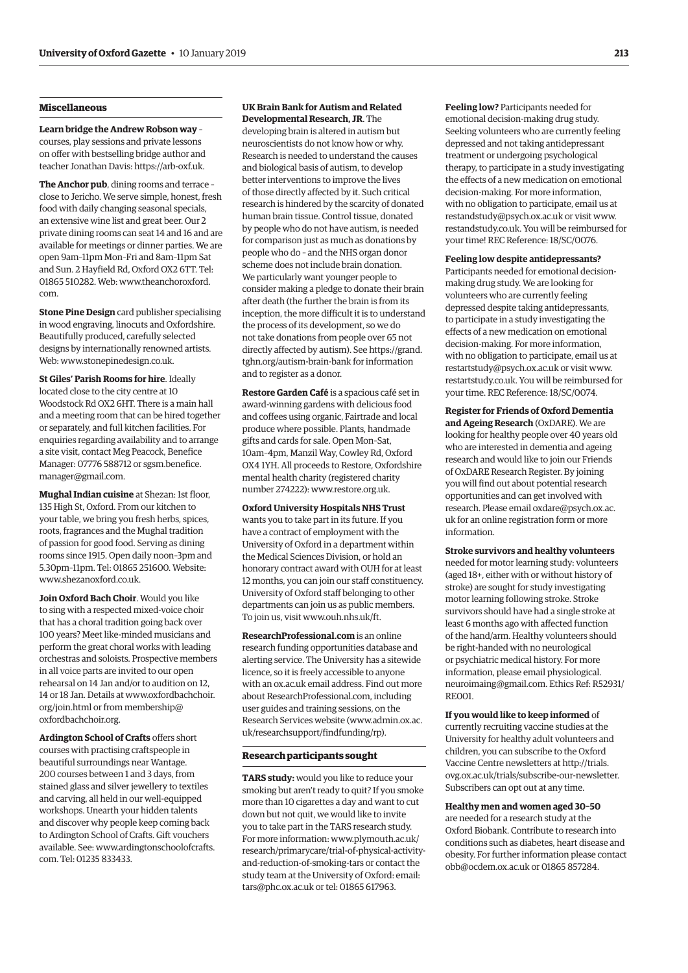#### **Miscellaneous**

**Learn bridge the Andrew Robson way** – courses, play sessions and private lessons on offer with bestselling bridge author and teacher Jonathan Davis: [https://arb-oxf.uk.](https://arb-oxf.uk)

**The Anchor pub**, dining rooms and terrace – close to Jericho. We serve simple, honest, fresh food with daily changing seasonal specials, an extensive wine list and great beer. Our 2 private dining rooms can seat 14 and 16 and are available for meetings or dinner parties. We are open 9am–11pm Mon–Fri and 8am–11pm Sat and Sun. 2 Hayfield Rd, Oxford OX2 6TT. Tel: [01865 510282. Web: www.theanchoroxford.](www.theanchoroxford.com) com.

**Stone Pine Design** card publisher specialising in wood engraving, linocuts and Oxfordshire. Beautifully produced, carefully selected designs by internationally renowned artists. Web: [www.stonepinedesign.co.uk.](http://www.stonepinedesign.co.uk)

**St Giles' Parish Rooms for hire**. Ideally located close to the city centre at 10 Woodstock Rd OX2 6HT. There is a main hall and a meeting room that can be hired together or separately, and full kitchen facilities. For enquiries regarding availability and to arrange a site visit, contact Meg Peacock, Benefice [Manager: 07776 588712 or sgsm.benefice.](mailto:sgsm.benefice.manager@gmail.com) manager@gmail.com.

**Mughal Indian cuisine** at Shezan: 1st floor, 135 High St, Oxford. From our kitchen to your table, we bring you fresh herbs, spices, roots, fragrances and the Mughal tradition of passion for good food. Serving as dining rooms since 1915. Open daily noon–3pm and 5.30pm–11pm. Tel: 01865 251600. Website: [www.shezanoxford.co.uk.](http://www.shezanoxford.co.uk)

**Join Oxford Bach Choir**. Would you like to sing with a respected mixed-voice choir that has a choral tradition going back over 100 years? Meet like-minded musicians and perform the great choral works with leading orchestras and soloists. Prospective members in all voice parts are invited to our open rehearsal on 14 Jan and/or to audition on 12, 14 or 18 Jan. Detai[ls at www.oxfordbachchoir.](www.oxfordbachchoir.org/join.html) org/join.html or fr[om membership@](mailto:membership@oxfordbachchoir.org) oxfordbachchoir.org.

**Ardington School of Crafts** offers short courses with practising craftspeople in beautiful surroundings near Wantage. 200 courses between 1 and 3 days, from stained glass and silver jewellery to textiles and carving, all held in our well-equipped workshops. Unearth your hidden talents and discover why people keep coming back to Ardington School of Crafts. Gift vouchers [available. See: www.ardingtonschoolofcrafts.](www.ardingtonschoolofcrafts.com) com. Tel: 01235 833433.

### **UK Brain Bank for Autism and Related**

**Developmental Research, JR**. The developing brain is altered in autism but neuroscientists do not know how or why. Research is needed to understand the causes and biological basis of autism, to develop better interventions to improve the lives of those directly affected by it. Such critical research is hindered by the scarcity of donated human brain tissue. Control tissue, donated by people who do not have autism, is needed for comparison just as much as donations by people who do – and the NHS organ donor scheme does not include brain donation. We particularly want younger people to consider making a pledge to donate their brain after death (the further the brain is from its inception, the more difficult it is to understand the process of its development, so we do not take donations from people over 65 not [directly affected by autism\). See https://grand.](https://grand.tghn.org/austism-brain-bank) tghn.org/autism-brain-bank for information and to register as a donor.

**Restore Garden Café** is a spacious café set in award-winning gardens with delicious food and coffees using organic, Fairtrade and local produce where possible. Plants, handmade gifts and cards for sale. Open Mon–Sat, 10am–4pm, Manzil Way, Cowley Rd, Oxford OX4 1YH. All proceeds to Restore, Oxfordshire mental health charity (registered charity number 274222): [www.restore.org.uk.](http://www.restore.org.uk)

**Oxford University Hospitals NHS Trust** wants you to take part in its future. If you have a contract of employment with the University of Oxford in a department within the Medical Sciences Division, or hold an honorary contract award with OUH for at least 12 months, you can join our staff constituency. University of Oxford staff belonging to other departments can join us as public members. To join us, visit [www.ouh.nhs.uk/ft.](http://www.ouh.nhs.uk/ft)

**ResearchProfessional.com** is an online research funding opportunities database and alerting service. The University has a sitewide licence, so it is freely accessible to anyone with an ox.ac.uk email address. Find out more about ResearchProfessional.com, including user guides and training sessions, on the Research Services website ([www.admin.ox.ac.](http://www.admin.ox.ac.uk/researchsupport/findfunding/rp) [uk/researchsupport/findfunding/rp\).](http://www.admin.ox.ac.uk/researchsupport/findfunding/rp) 

#### **Research participants sought**

**TARS study:** would you like to reduce your smoking but aren't ready to quit? If you smoke more than 10 cigarettes a day and want to cut down but not quit, we would like to invite you to take part in the TARS research study. For more information: www.plymouth.ac.uk/ [research/primarycare/trial-of-physical-activity](www.plymouth.ac.uk/research/primarycare/trial-of-physical-activity-and-reduction-of-smoking-tars)and-reduction-of-smoking-tars or contact the study team at the University of Oxford: email: [tars@phc.ox.ac.uk or](mailto:tars@phc.ox.ac.uk) tel: 01865 617963.

**Feeling low?** Participants needed for emotional decision-making drug study. Seeking volunteers who are currently feeling depressed and not taking antidepressant treatment or undergoing psychological therapy, to participate in a study investigating the effects of a new medication on emotional decision-making. For more information, with no obligation to participate, email us at [restandstudy@psych.ox.ac.uk or](mailto:restandstudy@psych.ox.ac.uk) visit [www.](http://www.restandstudy.co.uk) [restandstudy.co.uk. Yo](http://www.restandstudy.co.uk)u will be reimbursed for your time! REC Reference: 18/SC/0076.

#### **Feeling low despite antidepressants?**

Participants needed for emotional decisionmaking drug study. We are looking for volunteers who are currently feeling depressed despite taking antidepressants, to participate in a study investigating the effects of a new medication on emotional decision-making. For more information, with no obligation to participate, email us at [restartstudy@psych.ox.ac.uk or](mailto:restartstudy@psych.ox.ac.uk) visit [www.](http://www.restartstudy.co.uk) [restartstudy.co.uk. Yo](http://www.restartstudy.co.uk)u will be reimbursed for your time. REC Reference: 18/SC/0074.

**Register for Friends of Oxford Dementia and Ageing Research** (OxDARE). We are looking for healthy people over 40 years old who are interested in dementia and ageing research and would like to join our Friends of OxDARE Research Register. By joining you will find out about potential research opportunities and can get involved with [research. Please email oxdare@psych.ox.ac.](mailto:oxdare@psych.ox.ac.uk) uk for an online registration form or more information.

**Stroke survivors and healthy volunteers**

needed for motor learning study: volunteers (aged 18+, either with or without history of stroke) are sought for study investigating motor learning following stroke. Stroke survivors should have had a single stroke at least 6 months ago with affected function of the hand/arm. Healthy volunteers should be right-handed with no neurological or psychiatric medical history. For more information, please email physiological. [neuroimaing@gmail.com. Ethics Ref: R52931/](mailto:physiological.neuroimaging@gmail.com) RE001.

**If you would like to keep informed** of currently recruiting vaccine studies at the University for healthy adult volunteers and children, you can subscribe to the Oxford Vaccine Centre newsletters at http://trials.

[ovg.ox.ac.uk/trials/subscribe-our-newsletter.](http://trials.ovg.ox.ac.uk/trials/subscribe-our-newsletter)  Subscribers can opt out at any time.

#### **Healthy men and women aged 30–50**

are needed for a research study at the Oxford Biobank. Contribute to research into conditions such as diabetes, heart disease and obesity. For further information please contact [obb@ocdem.ox.ac.uk or](mailto:obb@ocdem.ox.ac.uk) 01865 857284.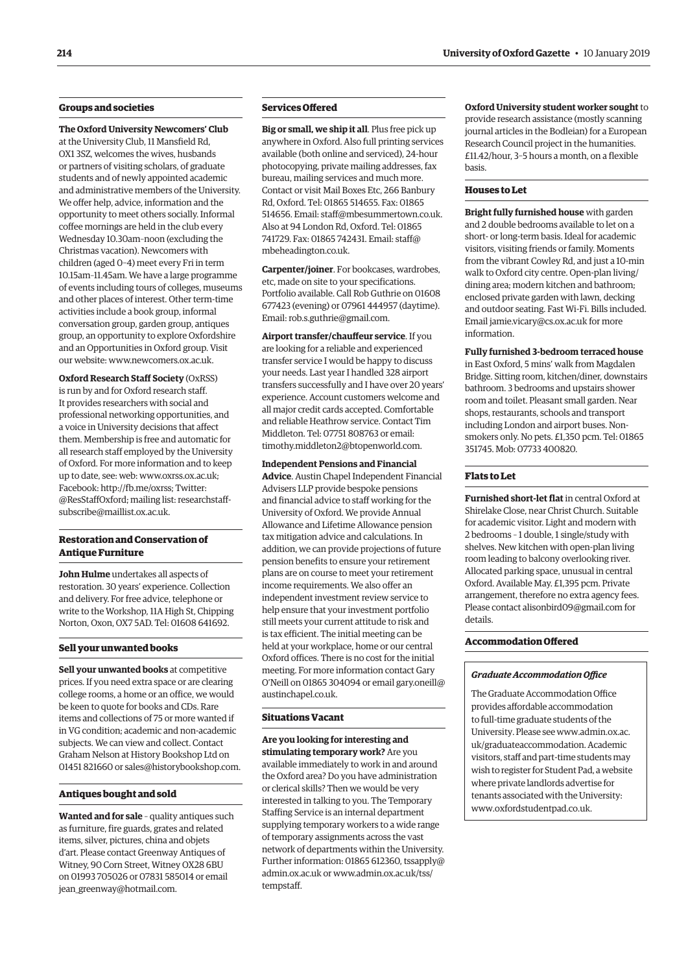#### **Groups and societies**

**The Oxford University Newcomers' Club** at the University Club, 11 Mansfield Rd, OX1 3SZ, welcomes the wives, husbands or partners of visiting scholars, of graduate students and of newly appointed academic and administrative members of the University. We offer help, advice, information and the opportunity to meet others socially. Informal coffee mornings are held in the club every Wednesday 10.30am–noon (excluding the Christmas vacation). Newcomers with children (aged 0–4) meet every Fri in term 10.15am–11.45am. We have a large programme of events including tours of colleges, museums and other places of interest. Other term-time activities include a book group, informal conversation group, garden group, antiques group, an opportunity to explore Oxfordshire and an Opportunities in Oxford group. Visit our website: [www.newcomers.ox.ac.uk.](http://www.newcomers.ox.ac.uk) 

**Oxford Research Staff Society** (OxRSS) is run by and for Oxford research staff. It provides researchers with social and professional networking opportunities, and a voice in University decisions that affect them. Membership is free and automatic for all research staff employed by the University of Oxford. For more information and to keep up to date, see: web: [www.oxrss.ox.ac.uk;](http://www.oxrss.ox.ac.uk)  Facebook: [http://fb.me/oxrss; Tw](http://fb.me/oxrss)itter: @ResStaffOxford[; mailing list: researchstaff](mailto:researchstaff-subscribe@maillist.ox.ac.uk)subscribe@maillist.ox.ac.uk.

#### **Restoration and Conservation of Antique Furniture**

**John Hulme** undertakes all aspects of restoration. 30 years' experience. Collection and delivery. For free advice, telephone or write to the Workshop, 11A High St, Chipping Norton, Oxon, OX7 5AD. Tel: 01608 641692.

#### **Sell your unwanted books**

**Sell your unwanted books** at competitive prices. If you need extra space or are clearing college rooms, a home or an office, we would be keen to quote for books and CDs. Rare items and collections of 75 or more wanted if in VG condition; academic and non-academic subjects. We can view and collect. Contact Graham Nelson at History Bookshop Ltd on 01451 821660 or [sales@historybookshop.com.](mailto:sales@historybookshop.com)

#### **Antiques bought and sold**

**Wanted and for sale** – quality antiques such as furniture, fire guards, grates and related items, silver, pictures, china and objets d'art. Please contact Greenway Antiques of Witney, 90 Corn Street, Witney OX28 6BU on 01993 705026 or 07831 585014 or email [jean\\_greenway@hotmail.com.](mailto:jean_greenway@hotmail.com)

#### **Services Offered**

**Big or small, we ship it all**. Plus free pick up anywhere in Oxford. Also full printing services available (both online and serviced), 24-hour photocopying, private mailing addresses, fax bureau, mailing services and much more. Contact or visit Mail Boxes Etc, 266 Banbury Rd, Oxford. Tel: 01865 514655. Fax: 01865 514656. Email: [staff@mbesummertown.co.uk.](mailto:staff@mbesummertown.co.uk)  Also at 94 London Rd, Oxford. Tel: 01865 [741729. Fax: 01865 742431. Email: staff@](mailto:staff@mbeheadington.co.uk) mbeheadington.co.uk.

**Carpenter/joiner**. For bookcases, wardrobes, etc, made on site to your specifications. Portfolio available. Call Rob Guthrie on 01608 677423 (evening) or 07961 444957 (daytime). Email: [rob.s.guthrie@gmail.com.](mailto:rob.s.guthrie@gmail.com) 

**Airport transfer/chauffeur service**. If you are looking for a reliable and experienced transfer service I would be happy to discuss your needs. Last year I handled 328 airport transfers successfully and I have over 20 years' experience. Account customers welcome and all major credit cards accepted. Comfortable and reliable Heathrow service. Contact Tim Middleton. Tel: 07751 808763 or email: [timothy.middleton2@btopenworld.com.](mailto:timothy.middleton2@btopenworld.com)

**Independent Pensions and Financial Advice**. Austin Chapel Independent Financial Advisers LLP provide bespoke pensions and financial advice to staff working for the University of Oxford. We provide Annual Allowance and Lifetime Allowance pension tax mitigation advice and calculations. In addition, we can provide projections of future pension benefits to ensure your retirement plans are on course to meet your retirement income requirements. We also offer an independent investment review service to help ensure that your investment portfolio still meets your current attitude to risk and is tax efficient. The initial meeting can be held at your workplace, home or our central Oxford offices. There is no cost for the initial meeting. For more information contact Gary [O'Neill on 01865 304094 or email gary.oneill@](mailto:gary.oneill@austinchapel.co.uk) austinchapel.co.uk.

#### **Situations Vacant**

**Are you looking for interesting and stimulating temporary work?** Are you available immediately to work in and around the Oxford area? Do you have administration or clerical skills? Then we would be very interested in talking to you. The Temporary Staffing Service is an internal department supplying temporary workers to a wide range of temporary assignments across the vast network of departments within the University. Further information: 01865 [612360, tssapply@](mailto:tssapply@admin.ox.ac.uk) admin.ox.ac.uk o[r www.admin.ox.ac.uk/tss/](www.admin.ox.ac.uk/tss/tempstaff) tempstaff.

**Oxford University student worker sought** to provide research assistance (mostly scanning journal articles in the Bodleian) for a European Research Council project in the humanities. £11.42/hour, 3–5 hours a month, on a flexible basis.

#### **Houses to Let**

**Bright fully furnished house** with garden and 2 double bedrooms available to let on a short- or long-term basis. Ideal for academic visitors, visiting friends or family. Moments from the vibrant Cowley Rd, and just a 10-min walk to Oxford city centre. Open-plan living/ dining area; modern kitchen and bathroom; enclosed private garden with lawn, decking and outdoor seating. Fast Wi-Fi. Bills included. Email [jamie.vicary@cs.ox.ac.uk fo](mailto:jamie.vicary@cs.ox.ac.uk)r more information.

**Fully furnished 3-bedroom terraced house**

in East Oxford, 5 mins' walk from Magdalen Bridge. Sitting room, kitchen/diner, downstairs bathroom. 3 bedrooms and upstairs shower room and toilet. Pleasant small garden. Near shops, restaurants, schools and transport including London and airport buses. Nonsmokers only. No pets. £1,350 pcm. Tel: 01865 351745. Mob: 07733 400820.

#### **Flats to Let**

**Furnished short-let flat** in central Oxford at Shirelake Close, near Christ Church. Suitable for academic visitor. Light and modern with 2 bedrooms – 1 double, 1 single/study with shelves. New kitchen with open-plan living room leading to balcony overlooking river. Allocated parking space, unusual in central Oxford. Available May. £1,395 pcm. Private arrangement, therefore no extra agency fees. Please contact [alisonbird09@gmail.com fo](mailto:alisonbird09@gmail.com)r details.

#### **Accommodation Offered**

#### *Graduate Accommodation Office*

The Graduate Accommodation Office provides affordable accommodation to full-time graduate students of the [University. Please see www.admin.ox.ac.](www.admin.ox.ac.uk/graduateaccommodation) uk/graduateaccommodation. Academic visitors, staff and part-time students may wish to register for Student Pad, a website where private landlords advertise for tenants associated with the University: [www.oxfordstudentpad.co.uk.](http://www.oxfordstudentpad.co.uk)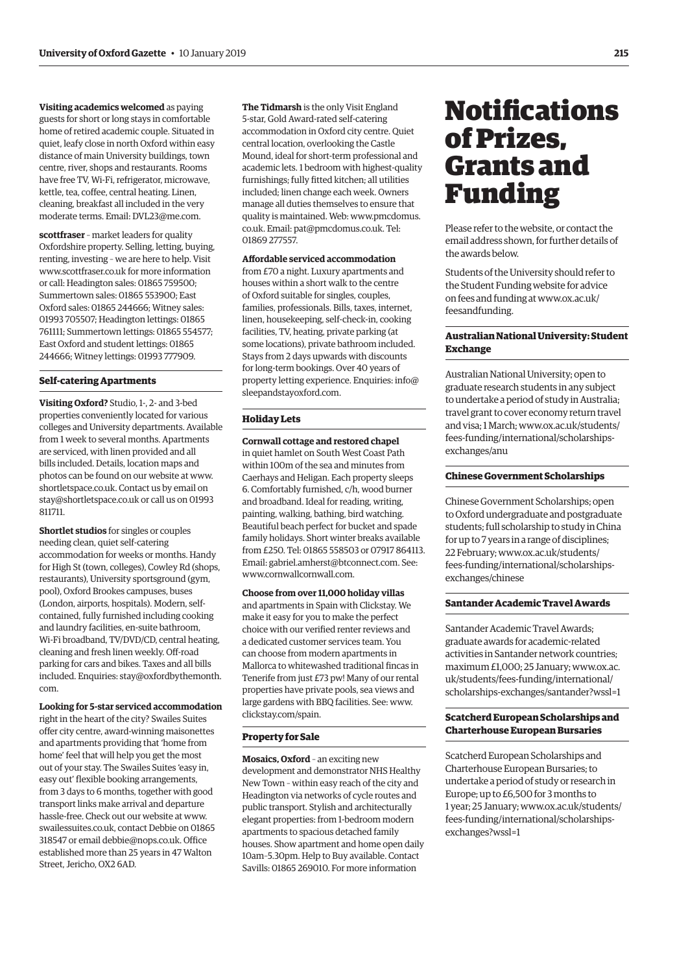<span id="page-10-0"></span>**Visiting academics welcomed** as paying guests for short or long stays in comfortable home of retired academic couple. Situated in quiet, leafy close in north Oxford within easy distance of main University buildings, town centre, river, shops and restaurants. Rooms have free TV, Wi-Fi, refrigerator, microwave, kettle, tea, coffee, central heating. Linen, cleaning, breakfast all included in the very moderate terms. Email: [DVL23@me.com.](mailto:DVL23@me.com)

**scottfraser** – market leaders for quality Oxfordshire property. Selling, letting, buying, renting, investing – we are here to help. Visit [www.scottfraser.co.uk fo](http://www.scottfraser.co.uk)r more information or call: Headington sales: 01865 759500; Summertown sales: 01865 553900; East Oxford sales: 01865 244666; Witney sales: 01993 705507; Headington lettings: 01865 761111; Summertown lettings: 01865 554577; East Oxford and student lettings: 01865 244666; Witney lettings: 01993 777909.

#### **Self-catering Apartments**

**Visiting Oxford?** Studio, 1-, 2- and 3-bed properties conveniently located for various colleges and University departments. Available from 1 week to several months. Apartments are serviced, with linen provided and all bills included. Details, location maps and photos can be found on our website at [www.](http://www.shortletspace.co.uk) [shortletspace.co.uk. Co](http://www.shortletspace.co.uk)ntact us by email on [stay@shortletspace.co.uk or](mailto:stay@shortletspace.co.uk) call us on 01993 811711.

**Shortlet studios** for singles or couples needing clean, quiet self-catering accommodation for weeks or months. Handy for High St (town, colleges), Cowley Rd (shops, restaurants), University sportsground (gym, pool), Oxford Brookes campuses, buses (London, airports, hospitals). Modern, selfcontained, fully furnished including cooking and laundry facilities, en-suite bathroom, Wi-Fi broadband, TV/DVD/CD, central heating, cleaning and fresh linen weekly. Off-road parking for cars and bikes. Taxes and all bills [included. Enquiries: stay@oxfordbythemonth.](mailto:stay@oxfordbythemonth.com) com.

#### **Looking for 5-star serviced accommodation**

right in the heart of the city? Swailes Suites offer city centre, award-winning maisonettes and apartments providing that 'home from home' feel that will help you get the most out of your stay. The Swailes Suites 'easy in, easy out' flexible booking arrangements, from 3 days to 6 months, together with good transport links make arrival and departure hassle-free. Check out our website at [www.](http://www.swailessuites.co.uk) [swailessuites.co.uk, co](http://www.swailessuites.co.uk)ntact Debbie on 01865 318547 or email [debbie@nops.co.uk. Of](mailto:debbie@nops.co.uk)fice established more than 25 years in 47 Walton Street, Jericho, OX2 6AD.

**The Tidmarsh** is the only Visit England 5-star, Gold Award-rated self-catering accommodation in Oxford city centre. Quiet central location, overlooking the Castle Mound, ideal for short-term professional and academic lets. 1 bedroom with highest-quality furnishings; fully fitted kitchen; all utilities included; linen change each week. Owners manage all duties themselves to ensure that quality is maintained. [Web: www.pmcdomus.](www.pmcdomus.co.uk) co.uk. Email: [pat@pmcdomus.co.uk. Te](mailto:pat@pmcdomus.co.uk)l: 01869 277557.

#### **Affordable serviced accommodation**

from £70 a night. Luxury apartments and houses within a short walk to the centre of Oxford suitable for singles, couples, families, professionals. Bills, taxes, internet, linen, housekeeping, self-check-in, cooking facilities, TV, heating, private parking (at some locations), private bathroom included. Stays from 2 days upwards with discounts for long-term bookings. Over 40 years of [property letting experience. Enquiries: info@](mailto:info@sleepandstayoxford.com) sleepandstayoxford.com.

#### **Holiday Lets**

**Cornwall cottage and restored chapel** in quiet hamlet on South West Coast Path within 100m of the sea and minutes from Caerhays and Heligan. Each property sleeps 6. Comfortably furnished, c/h, wood burner and broadband. Ideal for reading, writing, painting, walking, bathing, bird watching. Beautiful beach perfect for bucket and spade family holidays. Short winter breaks available from £250. Tel: 01865 558503 or 07917 864113. Email: [gabriel.amherst@btconnect.com. Se](mailto:gabriel.amherst@btconnect.com)e: [www.cornwallcornwall.com.](http://www.cornwallcornwall.com)

#### **Choose from over 11,000 holiday villas**

and apartments in Spain with Clickstay. We make it easy for you to make the perfect choice with our verified renter reviews and a dedicated customer services team. You can choose from modern apartments in Mallorca to whitewashed traditional fincas in Tenerife from just £73 pw! Many of our rental properties have private pools, sea views and large gardens with BBQ facilities. See: [www.](http://www.clickstay.com/spain) [clickstay.com/spain.](http://www.clickstay.com/spain)

#### **Property for Sale**

**Mosaics, Oxford** – an exciting new development and demonstrator NHS Healthy New Town – within easy reach of the city and Headington via networks of cycle routes and public transport. Stylish and architecturally elegant properties: from 1-bedroom modern apartments to spacious detached family houses. Show apartment and home open daily 10am–5.30pm. Help to Buy available. Contact Savills: 01865 269010. For more information

## **Notifications** of Prizes, Grants and Funding

Please refer to the website, or contact the email address shown, for further details of the awards below.

Students of the University should refer to the Student Funding website for advice [on fees and funding at www.ox.ac.uk/](www.ox.ac.uk/feesandfunding) feesandfunding.

#### **Australian National University: Student Exchange**

Australian National University; open to graduate research students in any subject to undertake a period of study in Australia; travel grant to cover economy return travel [and visa; 1 March; www.ox.ac.uk/students/](www.ox.ac.uk/students/fees-funding/international/scholarships-exchanges/anu) fees-funding/international/scholarshipsexchanges/anu

#### **Chinese Government Scholarships**

Chinese Government Scholarships; open to Oxford undergraduate and postgraduate students; full scholarship to study in China for up to 7 years in a range of disciplines; 22 February; www.ox.ac.uk/students/ [fees-funding/international/scholarships](www.ox.ac.uk/students/fees-funding/international/scholarships-exchanges/chinese)exchanges/chinese

#### **Santander Academic Travel Awards**

Santander Academic Travel Awards; graduate awards for academic-related activities in Santander network countries; maximum £1,000; 25 January; www.ox.ac. uk/students/fees-funding/international/ [scholarships-exchanges/santander?wssl=1](www.ox.ac.uk/students/fees-funding/international/scholarships-exchanges/santander?wssl=1)

#### **Scatcherd European Scholarships and Charterhouse European Bursaries**

Scatcherd European Scholarships and Charterhouse European Bursaries; to undertake a period of study or research in Europe; up to £6,500 for 3 months to [1 year; 25 January; www.ox.ac.uk/students/](www.ox.ac.uk/students/fees-funding/international/scholarships-exchanges?wssl=1) fees-funding/international/scholarshipsexchanges?wssl=1